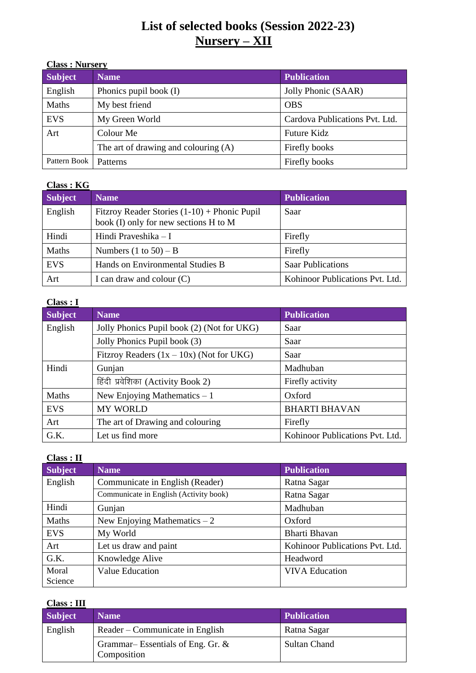# **List of selected books (Session 2022-23) Nursery – XII**

| <b>Class: Nursery</b> |                                      |                                |
|-----------------------|--------------------------------------|--------------------------------|
| <b>Subject</b>        | <b>Name</b>                          | <b>Publication</b>             |
| English               | Phonics pupil book (I)               | Jolly Phonic (SAAR)            |
| Maths                 | My best friend                       | <b>OBS</b>                     |
| <b>EVS</b>            | My Green World                       | Cardova Publications Pvt. Ltd. |
| Art                   | Colour Me                            | <b>Future Kidz</b>             |
|                       | The art of drawing and colouring (A) | Firefly books                  |
| Pattern Book          | Patterns                             | Firefly books                  |

#### **Class : KG**

| Subject    | <b>Name</b>                                                                             | <b>Publication</b>              |
|------------|-----------------------------------------------------------------------------------------|---------------------------------|
| English    | Fitzroy Reader Stories $(1-10)$ + Phonic Pupil<br>book (I) only for new sections H to M | Saar                            |
| Hindi      | Hindi Praveshika - I                                                                    | Firefly                         |
| Maths      | Numbers $(1 \text{ to } 50) - B$                                                        | Firefly                         |
| <b>EVS</b> | Hands on Environmental Studies B                                                        | <b>Saar Publications</b>        |
| Art        | I can draw and colour $(C)$                                                             | Kohinoor Publications Pvt. Ltd. |

### **Class : I**

| <b>Subject</b> | <b>Name</b>                                | <b>Publication</b>              |
|----------------|--------------------------------------------|---------------------------------|
| English        | Jolly Phonics Pupil book (2) (Not for UKG) | Saar                            |
|                | Jolly Phonics Pupil book (3)               | Saar                            |
|                | Fitzroy Readers $(1x - 10x)$ (Not for UKG) | Saar                            |
| Hindi          | Gunjan                                     | Madhuban                        |
|                | हिंदी प्रवेशिका (Activity Book 2)          | Firefly activity                |
| Maths          | New Enjoying Mathematics $-1$              | Oxford                          |
| <b>EVS</b>     | <b>MY WORLD</b>                            | <b>BHARTI BHAVAN</b>            |
| Art            | The art of Drawing and colouring           | Firefly                         |
| G.K.           | Let us find more                           | Kohinoor Publications Pvt. Ltd. |

| ISS -<br>И |  |
|------------|--|
|            |  |

| Скаээ , п      |                                        |                                 |
|----------------|----------------------------------------|---------------------------------|
| <b>Subject</b> | <b>Name</b>                            | <b>Publication</b>              |
| English        | Communicate in English (Reader)        | Ratna Sagar                     |
|                | Communicate in English (Activity book) | Ratna Sagar                     |
| Hindi          | Gunjan                                 | Madhuban                        |
| Maths          | New Enjoying Mathematics $-2$          | Oxford                          |
| <b>EVS</b>     | My World                               | Bharti Bhavan                   |
| Art            | Let us draw and paint                  | Kohinoor Publications Pvt. Ltd. |
| G.K.           | Knowledge Alive                        | Headword                        |
| Moral          | <b>Value Education</b>                 | <b>VIVA Education</b>           |
| Science        |                                        |                                 |

#### **Class : III**

| <u> CAMUD 1 111</u> |                                                 |                    |
|---------------------|-------------------------------------------------|--------------------|
| <b>Subject</b>      | <b>Name</b>                                     | <b>Publication</b> |
| English             | Reader – Communicate in English                 | Ratna Sagar        |
|                     | Grammar–Essentials of Eng. Gr. &<br>Composition | Sultan Chand       |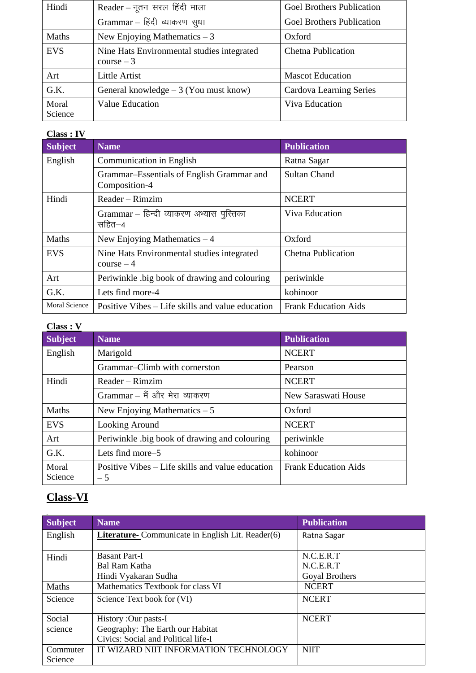| Hindi            | Reader - नूतन सरल हिंदी माला                               | <b>Goel Brothers Publication</b> |
|------------------|------------------------------------------------------------|----------------------------------|
|                  | Grammar - हिंदी व्याकरण सुधा                               | <b>Goel Brothers Publication</b> |
| Maths            | New Enjoying Mathematics $-3$                              | Oxford                           |
| <b>EVS</b>       | Nine Hats Environmental studies integrated<br>$course - 3$ | <b>Chetna Publication</b>        |
| Art              | Little Artist                                              | <b>Mascot Education</b>          |
| G.K.             | General knowledge $-3$ (You must know)                     | Cardova Learning Series          |
| Moral<br>Science | <b>Value Education</b>                                     | Viva Education                   |

### **Class : IV**

| <b>Subject</b> | <b>Name</b>                                                | <b>Publication</b>          |
|----------------|------------------------------------------------------------|-----------------------------|
| English        | Communication in English                                   | Ratna Sagar                 |
|                | Grammar–Essentials of English Grammar and<br>Composition-4 | <b>Sultan Chand</b>         |
| Hindi          | Reader - Rimzim                                            | <b>NCERT</b>                |
|                | Grammar – हिन्दी व्याकरण अभ्यास पुस्तिका<br>सहित–4         | <b>Viva Education</b>       |
| Maths          | New Enjoying Mathematics $-4$                              | Oxford                      |
| <b>EVS</b>     | Nine Hats Environmental studies integrated<br>$course - 4$ | <b>Chetna Publication</b>   |
| Art            | Periwinkle big book of drawing and colouring               | periwinkle                  |
| G.K.           | Lets find more-4                                           | kohinoor                    |
| Moral Science  | Positive Vibes – Life skills and value education           | <b>Frank Education Aids</b> |

| 12SS |  |
|------|--|
|      |  |

| Class : V        |                                                          |                             |
|------------------|----------------------------------------------------------|-----------------------------|
| <b>Subject</b>   | <b>Name</b>                                              | <b>Publication</b>          |
| English          | Marigold                                                 | <b>NCERT</b>                |
|                  | Grammar-Climb with cornerston                            | Pearson                     |
| Hindi            | $Reader - Rimzim$                                        | <b>NCERT</b>                |
|                  | Grammar - मैं और मेरा व्याकरण                            | New Saraswati House         |
| Maths            | New Enjoying Mathematics $-5$                            | Oxford                      |
| <b>EVS</b>       | Looking Around                                           | <b>NCERT</b>                |
| Art              | Periwinkle big book of drawing and colouring             | periwinkle                  |
| G.K.             | Lets find more–5                                         | kohinoor                    |
| Moral<br>Science | Positive Vibes – Life skills and value education<br>$-5$ | <b>Frank Education Aids</b> |
|                  |                                                          |                             |

# **Class-VI**

| <b>Subject</b> | <b>Name</b>                                              | <b>Publication</b> |
|----------------|----------------------------------------------------------|--------------------|
| English        | <b>Literature-</b> Communicate in English Lit. Reader(6) | Ratna Sagar        |
|                |                                                          |                    |
| Hindi          | <b>Basant Part-I</b>                                     | N.C.E.R.T          |
|                | Bal Ram Katha                                            | N.C.E.R.T          |
|                | Hindi Vyakaran Sudha                                     | Goyal Brothers     |
| Maths          | Mathematics Textbook for class VI                        | <b>NCERT</b>       |
| Science        | Science Text book for (VI)                               | <b>NCERT</b>       |
|                |                                                          |                    |
| Social         | History : Our pasts-I                                    | <b>NCERT</b>       |
| science        | Geography: The Earth our Habitat                         |                    |
|                | Civics: Social and Political life-I                      |                    |
| Commuter       | IT WIZARD NIIT INFORMATION TECHNOLOGY                    | <b>NIIT</b>        |
| Science        |                                                          |                    |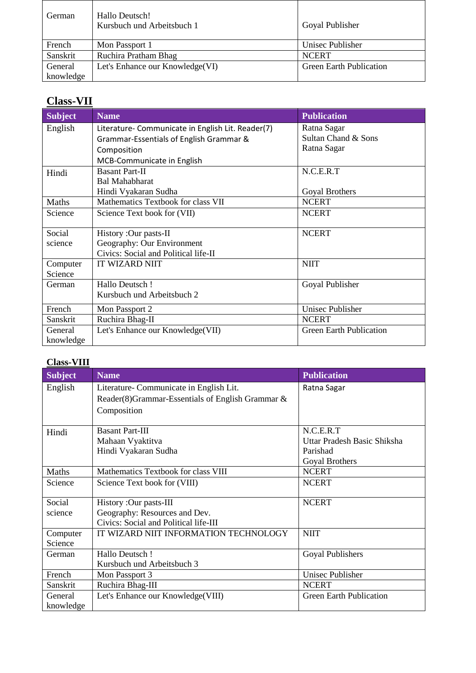| German    | Hallo Deutsch!<br>Kursbuch und Arbeitsbuch 1 | Goyal Publisher                |
|-----------|----------------------------------------------|--------------------------------|
| French    | Mon Passport 1                               | Unisec Publisher               |
| Sanskrit  | Ruchira Pratham Bhag                         | <b>NCERT</b>                   |
| General   | Let's Enhance our Knowledge(VI)              | <b>Green Earth Publication</b> |
| knowledge |                                              |                                |

# **Class-VII**

| <b>Subject</b> | <b>Name</b>                                       | <b>Publication</b>             |
|----------------|---------------------------------------------------|--------------------------------|
| English        | Literature- Communicate in English Lit. Reader(7) | Ratna Sagar                    |
|                | Grammar-Essentials of English Grammar &           | Sultan Chand & Sons            |
|                | Composition                                       | Ratna Sagar                    |
|                | MCB-Communicate in English                        |                                |
| Hindi          | <b>Basant Part-II</b>                             | N.C.E.R.T                      |
|                | <b>Bal Mahabharat</b>                             |                                |
|                | Hindi Vyakaran Sudha                              | Goyal Brothers                 |
| Maths          | Mathematics Textbook for class VII                | <b>NCERT</b>                   |
| Science        | Science Text book for (VII)                       | <b>NCERT</b>                   |
|                |                                                   |                                |
| Social         | History : Our pasts-II                            | <b>NCERT</b>                   |
| science        | Geography: Our Environment                        |                                |
|                | Civics: Social and Political life-II              |                                |
| Computer       | <b>IT WIZARD NIIT</b>                             | <b>NIIT</b>                    |
| Science        |                                                   |                                |
| German         | Hallo Deutsch!                                    | Goyal Publisher                |
|                | Kursbuch und Arbeitsbuch 2                        |                                |
| French         | Mon Passport 2                                    | <b>Unisec Publisher</b>        |
| Sanskrit       | Ruchira Bhag-II                                   | <b>NCERT</b>                   |
| General        | Let's Enhance our Knowledge(VII)                  | <b>Green Earth Publication</b> |
| knowledge      |                                                   |                                |

### **Class-VIII**

| Subject             | <b>Name</b>                                      | <b>Publication</b>             |
|---------------------|--------------------------------------------------|--------------------------------|
| English             | Literature-Communicate in English Lit.           | Ratna Sagar                    |
|                     | Reader(8)Grammar-Essentials of English Grammar & |                                |
|                     | Composition                                      |                                |
| Hindi               | <b>Basant Part-III</b>                           | N.C.E.R.T                      |
|                     | Mahaan Vyaktitva                                 | Uttar Pradesh Basic Shiksha    |
|                     | Hindi Vyakaran Sudha                             | Parishad                       |
|                     |                                                  | Goyal Brothers                 |
| Maths               | Mathematics Textbook for class VIII              | <b>NCERT</b>                   |
| Science             | Science Text book for (VIII)                     | <b>NCERT</b>                   |
| Social              | History : Our pasts-III                          | <b>NCERT</b>                   |
| science             | Geography: Resources and Dev.                    |                                |
|                     | Civics: Social and Political life-III            |                                |
| Computer<br>Science | IT WIZARD NIIT INFORMATION TECHNOLOGY            | <b>NIIT</b>                    |
| German              | Hallo Deutsch!                                   | Goyal Publishers               |
|                     | Kursbuch und Arbeitsbuch 3                       |                                |
| French              | Mon Passport 3                                   | <b>Unisec Publisher</b>        |
| Sanskrit            | Ruchira Bhag-III                                 | <b>NCERT</b>                   |
| General             | Let's Enhance our Knowledge(VIII)                | <b>Green Earth Publication</b> |
| knowledge           |                                                  |                                |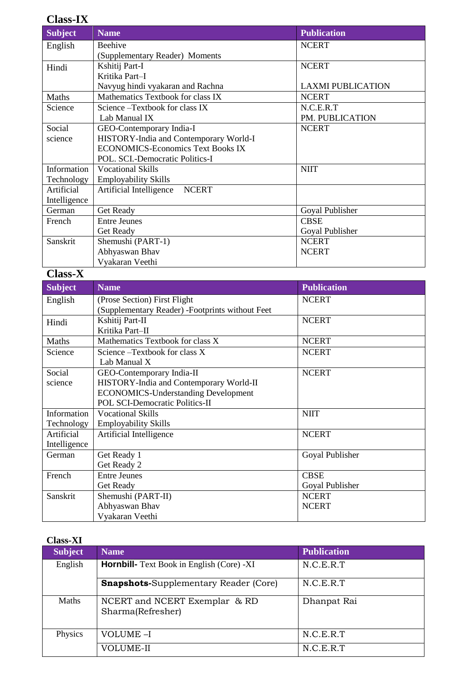## **Class-IX**

| <b>Subject</b> | <b>Name</b>                                     | <b>Publication</b>       |
|----------------|-------------------------------------------------|--------------------------|
| English        | Beehive                                         | <b>NCERT</b>             |
|                | (Supplementary Reader) Moments                  |                          |
| Hindi          | Kshitij Part-I                                  | <b>NCERT</b>             |
|                | Kritika Part-I                                  |                          |
|                | Navyug hindi vyakaran and Rachna                | <b>LAXMI PUBLICATION</b> |
| Maths          | Mathematics Textbook for class IX               | <b>NCERT</b>             |
| Science        | Science - Textbook for class IX                 | N.C.E.R.T                |
|                | Lab Manual IX                                   | PM. PUBLICATION          |
| Social         | GEO-Contemporary India-I                        | <b>NCERT</b>             |
| science        | HISTORY-India and Contemporary World-I          |                          |
|                | <b>ECONOMICS-Economics Text Books IX</b>        |                          |
|                | POL. SCI.-Democratic Politics-I                 |                          |
| Information    | <b>Vocational Skills</b>                        | <b>NIIT</b>              |
| Technology     | <b>Employability Skills</b>                     |                          |
| Artificial     | Artificial Intelligence<br><b>NCERT</b>         |                          |
| Intelligence   |                                                 |                          |
| German         | Get Ready                                       | Goyal Publisher          |
| French         | <b>Entre Jeunes</b>                             | <b>CBSE</b>              |
|                | Get Ready                                       | Goyal Publisher          |
| Sanskrit       | Shemushi (PART-1)                               | <b>NCERT</b>             |
|                | Abhyaswan Bhav                                  | <b>NCERT</b>             |
|                | Vyakaran Veethi                                 |                          |
| <b>Class-X</b> |                                                 |                          |
| <b>Subject</b> | <b>Name</b>                                     | <b>Publication</b>       |
| English        | (Prose Section) First Flight                    | <b>NCERT</b>             |
|                | (Supplementary Reader) -Footprints without Feet |                          |
| Hindi          | Kshitij Part-II                                 | <b>NCERT</b>             |
|                | Kritika Part-II                                 |                          |
| Maths          | Mathematics Textbook for class X                | <b>NCERT</b>             |
| Science        | Science - Textbook for class X                  | <b>NCERT</b>             |
|                | Lah Manual Y                                    |                          |

| Science       | Science - Textbook for class X             | <b>NCERT</b>    |
|---------------|--------------------------------------------|-----------------|
|               | Lab Manual X                               |                 |
| Social        | GEO-Contemporary India-II                  | <b>NCERT</b>    |
| science       | HISTORY-India and Contemporary World-II    |                 |
|               | <b>ECONOMICS-Understanding Development</b> |                 |
|               | POL SCI-Democratic Politics-II             |                 |
| Information   | <b>Vocational Skills</b>                   | <b>NIIT</b>     |
| Technology    | <b>Employability Skills</b>                |                 |
| Artificial    | Artificial Intelligence                    | <b>NCERT</b>    |
| Intelligence  |                                            |                 |
| <b>German</b> | Get Ready 1                                | Goyal Publisher |
|               | Get Ready 2                                |                 |
| French        | <b>Entre Jeunes</b>                        | <b>CBSE</b>     |
|               | Get Ready                                  | Goyal Publisher |
| Sanskrit      | Shemushi (PART-II)                         | <b>NCERT</b>    |
|               | Abhyaswan Bhav                             | <b>NCERT</b>    |
|               | Vyakaran Veethi                            |                 |

| <b>Class-XI</b> |                                                    |                    |
|-----------------|----------------------------------------------------|--------------------|
| <b>Subject</b>  | <b>Name</b>                                        | <b>Publication</b> |
| English         | <b>Hornbill-</b> Text Book in English (Core) -XI   | N.C.E.R.T          |
|                 | <b>Snapshots-Supplementary Reader (Core)</b>       | N.C.E.R.T          |
| <b>Maths</b>    | NCERT and NCERT Exemplar & RD<br>Sharma(Refresher) | Dhanpat Rai        |
| Physics         | VOLUME-I                                           | N.C.E.R.T          |
|                 | VOLUME-II                                          | N.C.E.R.T          |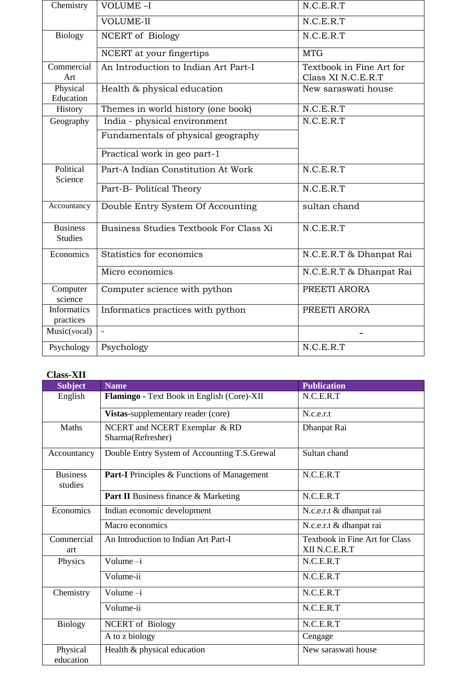| Chemistry                         | <b>VOLUME-I</b>                        | N.C.E.R.T                                      |
|-----------------------------------|----------------------------------------|------------------------------------------------|
|                                   | <b>VOLUME-II</b>                       | N.C.E.R.T                                      |
| <b>Biology</b>                    | <b>NCERT</b> of Biology                | N.C.E.R.T                                      |
|                                   | NCERT at your fingertips               | <b>MTG</b>                                     |
| Commercial<br>Art                 | An Introduction to Indian Art Part-I   | Textbook in Fine Art for<br>Class XI N.C.E.R.T |
| Physical<br>Education             | Health & physical education            | New saraswati house                            |
| History                           | Themes in world history (one book)     | N.C.E.R.T                                      |
| Geography                         | India - physical environment           | N.C.E.R.T                                      |
|                                   | Fundamentals of physical geography     |                                                |
|                                   | Practical work in geo part-1           |                                                |
| Political<br>Science              | Part-A Indian Constitution At Work     | N.C.E.R.T                                      |
|                                   | Part-B- Political Theory               | N.C.E.R.T                                      |
| Accountancy                       | Double Entry System Of Accounting      | sultan chand                                   |
| <b>Business</b><br><b>Studies</b> | Business Studies Textbook For Class Xi | N.C.E.R.T                                      |
| Economics                         | Statistics for economics               | N.C.E.R.T & Dhanpat Rai                        |
|                                   | Micro economics                        | N.C.E.R.T & Dhanpat Rai                        |
| Computer<br>science               | Computer science with python           | PREETI ARORA                                   |
| <b>Informatics</b><br>practices   | Informatics practices with python      | PREETI ARORA                                   |
| Music(vocal)                      | $\equiv$                               |                                                |
| Psychology                        | Psychology                             | N.C.E.R.T                                      |

#### **Class-XII**

| <b>Subject</b>             | <b>Name</b>                                        | <b>Publication</b>                              |
|----------------------------|----------------------------------------------------|-------------------------------------------------|
| English                    | Flamingo - Text Book in English (Core)-XII         | N.C.E.R.T                                       |
|                            | Vistas-supplementary reader (core)                 | N.c.e.r.t                                       |
| Maths                      | NCERT and NCERT Exemplar & RD<br>Sharma(Refresher) | Dhanpat Rai                                     |
| Accountancy                | Double Entry System of Accounting T.S.Grewal       | Sultan chand                                    |
| <b>Business</b><br>studies | <b>Part-I</b> Principles & Functions of Management | N.C.E.R.T                                       |
|                            | <b>Part II</b> Business finance & Marketing        | N.C.E.R.T                                       |
| Economics                  | Indian economic development                        | N.c.e.r.t & dhanpat rai                         |
|                            | Macro economics                                    | N.c.e.r.t & dhanpat rai                         |
| Commercial<br>art          | An Introduction to Indian Art Part-I               | Textbook in Fine Art for Class<br>XII N.C.E.R.T |
| Physics                    | Volume $-i$                                        | N.C.E.R.T                                       |
|                            | Volume-ii                                          | N.C.E.R.T                                       |
| Chemistry                  | Volume $-i$                                        | N.C.E.R.T                                       |
|                            | Volume-ii                                          | N.C.E.R.T                                       |
| <b>Biology</b>             | <b>NCERT</b> of Biology                            | N.C.E.R.T                                       |
|                            | A to z biology                                     | Cengage                                         |
| Physical<br>education      | Health & physical education                        | New saraswati house                             |